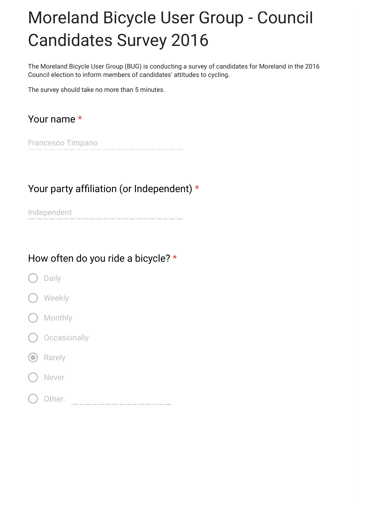# Moreland Bicycle User Group - Council Candidates Survey 2016

The Moreland Bicycle User Group (BUG) is conducting a survey of candidates for Moreland in the 2016 Council election to inform members of candidates' attitudes to cycling.

The survey should take no more than 5 minutes.

## Your name \*

Francesco Timpano

#### Your party affiliation (or Independent)  $*$

Independent

#### How often do you ride a bicycle? \*

- Daily
- **Weekly**
- **Monthly**
- O Occasionally
- **O** Rarely
- Never
- Other: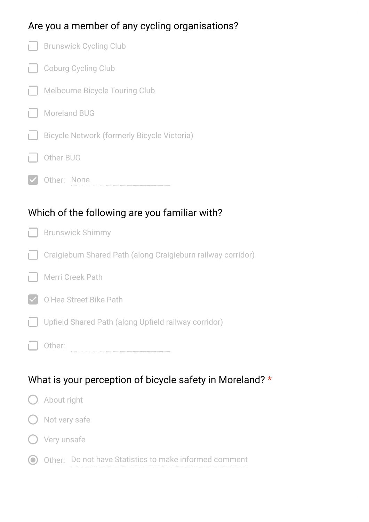# Are you a member of any cycling organisations?

|    | <b>Brunswick Cycling Club</b>                                |
|----|--------------------------------------------------------------|
| гI | Coburg Cycling Club                                          |
| H  | <b>Melbourne Bicycle Touring Club</b>                        |
|    | <b>Moreland BUG</b>                                          |
|    | <b>Bicycle Network (formerly Bicycle Victoria)</b>           |
|    | Other BUG                                                    |
|    | Other: None                                                  |
|    |                                                              |
|    | Which of the following are you familiar with?                |
|    | <b>Brunswick Shimmy</b>                                      |
| H  | Craigieburn Shared Path (along Craigieburn railway corridor) |
|    | Merri Creek Path                                             |
|    | O'Hea Street Bike Path                                       |
|    | Upfield Shared Path (along Upfield railway corridor)         |

# What is your perception of bicycle safety in Moreland? \*

| () About right                                           |
|----------------------------------------------------------|
| $\bigcirc$ Not very safe                                 |
| () Very unsafe                                           |
| O Other: Do not have Statistics to make informed comment |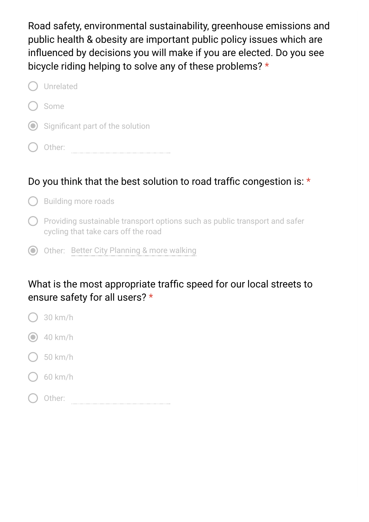Road safety, environmental sustainability, greenhouse emissions and public health & obesity are important public policy issues which are influenced by decisions you will make if you are elected. Do you see bicycle riding helping to solve any of these problems? \*

| ( ) Unrelated                        |
|--------------------------------------|
| ( ) Some                             |
| (e) Significant part of the solution |
| Other:                               |

## Do you think that the best solution to road traffic congestion is:  $\star$

- $\bigcap$  Building more roads
- $\bigcap$  Providing sustainable transport options such as public transport and safer cycling that take cars off the road
- Other: Better City Planning & more walking

#### What is the most appropriate traffic speed for our local streets to ensure safety for all users? \*

- 30 km/h
- $\odot$  40 km/h
- 50 km/h
- 60 km/h
- Other: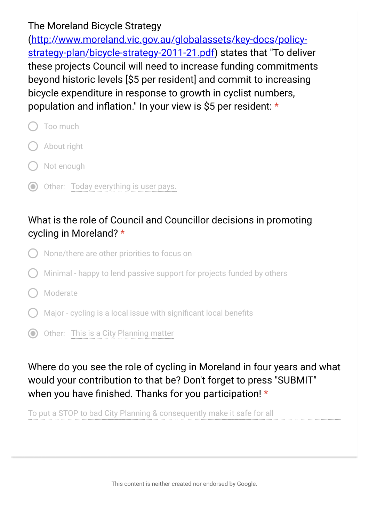#### The Moreland Bicycle Strategy

(http://www.moreland.vic.gov.au/globalassets/key-docs/policy[strategy-plan/bicycle-strategy-2011-21.pdf\) states that "To delive](https://www.google.com/url?q=http://www.moreland.vic.gov.au/globalassets/key-docs/policy-strategy-plan/bicycle-strategy-2011-21.pdf&sa=D&ust=1475562247451000&usg=AFQjCNFxOZ5HYOzswF2B5klyPKGQzLs0rw)r these projects Council will need to increase funding commitments beyond historic levels [\$5 per resident] and commit to increasing bicycle expenditure in response to growth in cyclist numbers, population and inflation." In your view is \$5 per resident:  $*$ 

- Too much
- About right
- Not enough
- O Other: Today everything is user pays.

## What is the role of Council and Councillor decisions in promoting cycling in Moreland? \*

- None/there are other priorities to focus on
- Minimal happy to lend passive support for projects funded by others
- Moderate
- Major cycling is a local issue with significant local benefits
- O Other: This is a City Planning matter

## Where do you see the role of cycling in Moreland in four years and what would your contribution to that be? Don't forget to press "SUBMIT" when you have finished. Thanks for you participation!  $*$

To put a STOP to bad City Planning & consequently make it safe for all